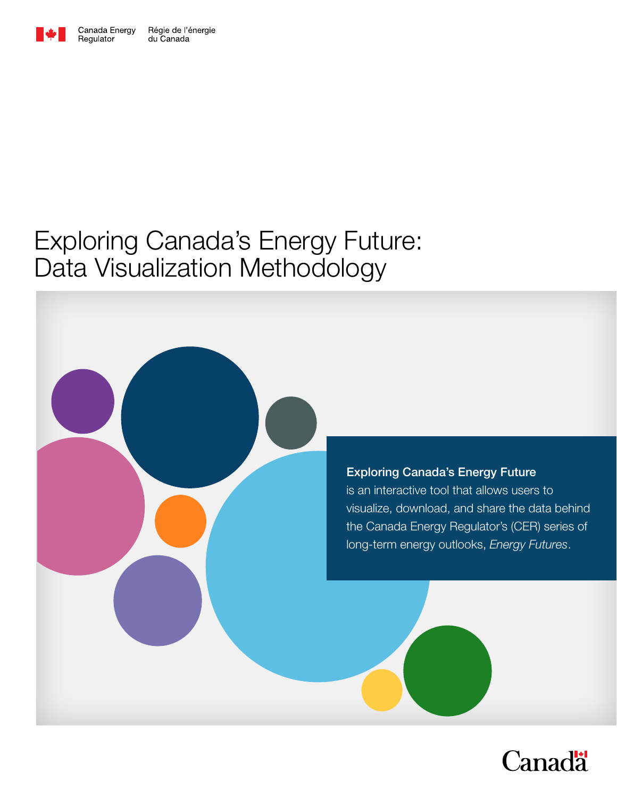

Regulator

Régie de l'énergie<br>du Canada Canada Energy

# Exploring Canada's Energy Future: Data Visualization Methodology

#### Exploring Canada's Energy Future

is an interactive tool that allows users to visualize, download, and share the data behind the Canada Energy Regulator's (CER) series of long-term energy outlooks, *Energy Futures*.

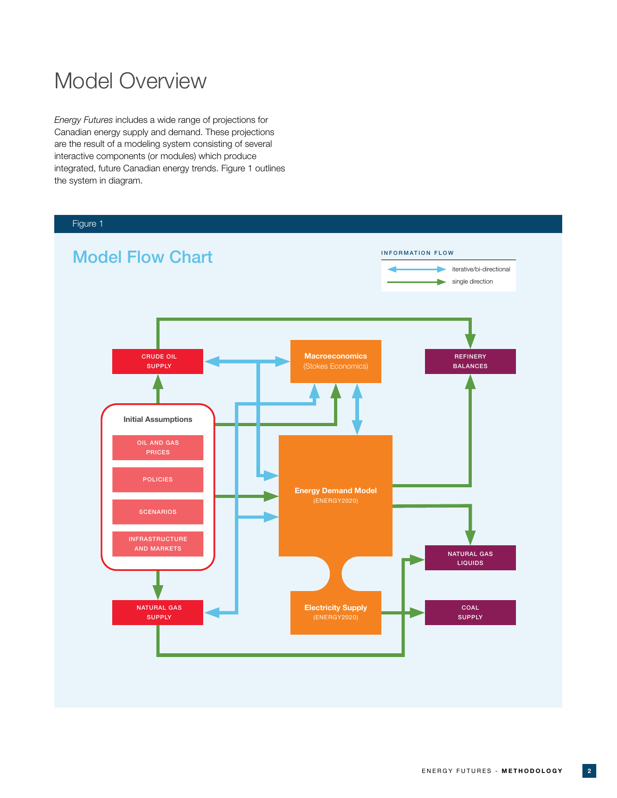## Model Overview

*Energy Futures* includes a wide range of projections for Canadian energy supply and demand. These projections are the result of a modeling system consisting of several interactive components (or modules) which produce integrated, future Canadian energy trends. Figure 1 outlines the system in diagram.

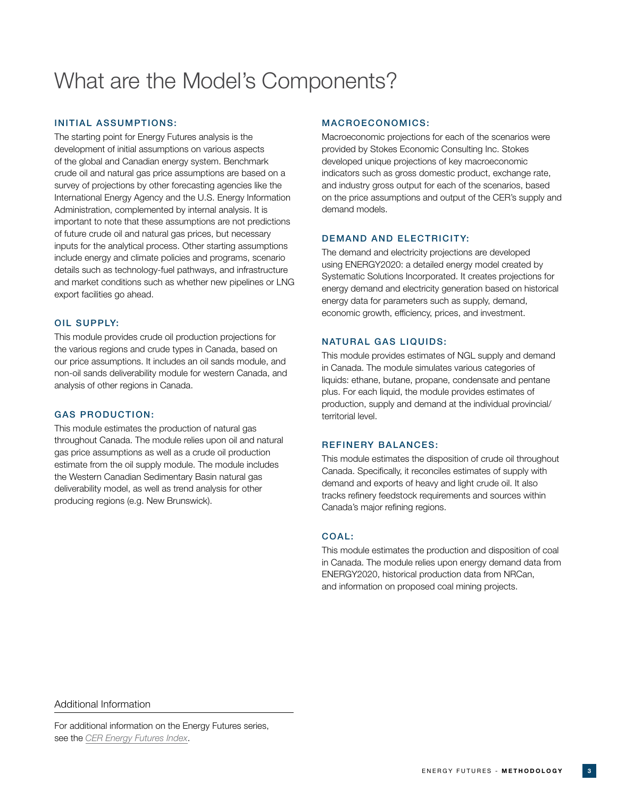## What are the Model's Components?

#### INITIAL ASSUMPTIONS:

The starting point for Energy Futures analysis is the development of initial assumptions on various aspects of the global and Canadian energy system. Benchmark crude oil and natural gas price assumptions are based on a survey of projections by other forecasting agencies like the International Energy Agency and the U.S. Energy Information Administration, complemented by internal analysis. It is important to note that these assumptions are not predictions of future crude oil and natural gas prices, but necessary inputs for the analytical process. Other starting assumptions include energy and climate policies and programs, scenario details such as technology-fuel pathways, and infrastructure and market conditions such as whether new pipelines or LNG export facilities go ahead.

#### OIL SUPPLY:

This module provides crude oil production projections for the various regions and crude types in Canada, based on our price assumptions. It includes an oil sands module, and non-oil sands deliverability module for western Canada, and analysis of other regions in Canada.

#### GAS PRODUCTION:

This module estimates the production of natural gas throughout Canada. The module relies upon oil and natural gas price assumptions as well as a crude oil production estimate from the oil supply module. The module includes the Western Canadian Sedimentary Basin natural gas deliverability model, as well as trend analysis for other producing regions (e.g. New Brunswick).

#### MACROECONOMICS:

Macroeconomic projections for each of the scenarios were provided by Stokes Economic Consulting Inc. Stokes developed unique projections of key macroeconomic indicators such as gross domestic product, exchange rate, and industry gross output for each of the scenarios, based on the price assumptions and output of the CER's supply and demand models.

#### DEMAND AND ELECTRICITY:

The demand and electricity projections are developed using ENERGY2020: a detailed energy model created by Systematic Solutions Incorporated. It creates projections for energy demand and electricity generation based on historical energy data for parameters such as supply, demand, economic growth, efficiency, prices, and investment.

#### NATURAL GAS LIQUIDS:

This module provides estimates of NGL supply and demand in Canada. The module simulates various categories of liquids: ethane, butane, propane, condensate and pentane plus. For each liquid, the module provides estimates of production, supply and demand at the individual provincial/ territorial level.

#### REFINERY BALANCES:

This module estimates the disposition of crude oil throughout Canada. Specifically, it reconciles estimates of supply with demand and exports of heavy and light crude oil. It also tracks refinery feedstock requirements and sources within Canada's major refining regions.

#### COAL:

This module estimates the production and disposition of coal in Canada. The module relies upon energy demand data from ENERGY2020, historical production data from NRCan, and information on proposed coal mining projects.

#### Additional Information

For additional information on the Energy Futures series, see the *[CER Energy Futures Index](https://www.cer-rec.gc.ca/en/data-analysis/canada-energy-future/index.html)*.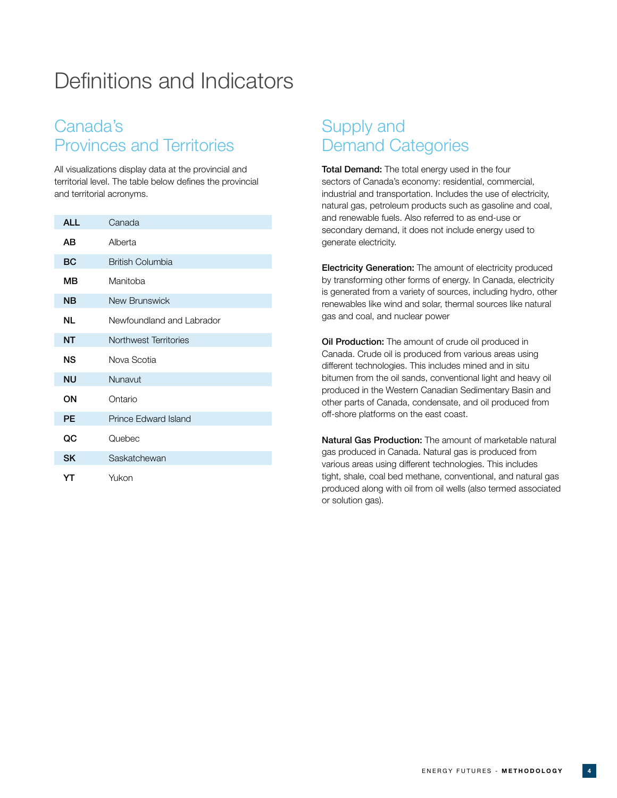## Definitions and Indicators

### Canada's Provinces and Territories

All visualizations display data at the provincial and territorial level. The table below defines the provincial and territorial acronyms.

| <b>ALL</b> | Canada                      |
|------------|-----------------------------|
| AВ         | Alberta                     |
| <b>BC</b>  | <b>British Columbia</b>     |
| ΜВ         | Manitoba                    |
| <b>NB</b>  | New Brunswick               |
| NL         | Newfoundland and Labrador   |
| <b>NT</b>  | Northwest Territories       |
| <b>NS</b>  | Nova Scotia                 |
| <b>NU</b>  | Nunavut                     |
| ON         | Ontario                     |
| PE         | <b>Prince Edward Island</b> |
| QC         | Quebec                      |
| <b>SK</b>  | Saskatchewan                |
| YT         | Yukon                       |

### Supply and Demand Categories

Total Demand: The total energy used in the four sectors of Canada's economy: residential, commercial, industrial and transportation. Includes the use of electricity, natural gas, petroleum products such as gasoline and coal, and renewable fuels. Also referred to as end-use or secondary demand, it does not include energy used to generate electricity.

Electricity Generation: The amount of electricity produced by transforming other forms of energy. In Canada, electricity is generated from a variety of sources, including hydro, other renewables like wind and solar, thermal sources like natural gas and coal, and nuclear power

**Oil Production:** The amount of crude oil produced in Canada. Crude oil is produced from various areas using different technologies. This includes mined and in situ bitumen from the oil sands, conventional light and heavy oil produced in the Western Canadian Sedimentary Basin and other parts of Canada, condensate, and oil produced from off-shore platforms on the east coast.

Natural Gas Production: The amount of marketable natural gas produced in Canada. Natural gas is produced from various areas using different technologies. This includes tight, shale, coal bed methane, conventional, and natural gas produced along with oil from oil wells (also termed associated or solution gas).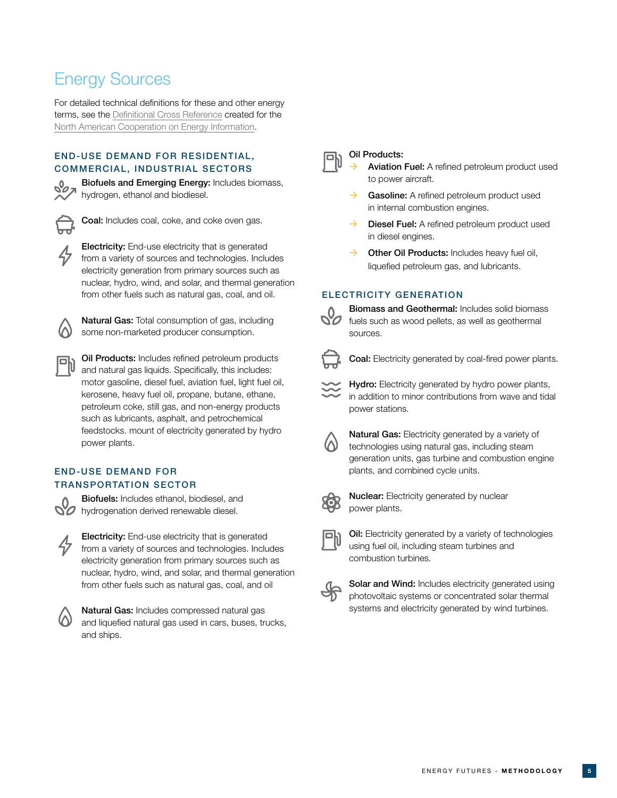### Energy Sources

For detailed technical definitions for these and other energy terms, see the [Definitional Cross Reference](https://www.eia.gov/trilateral/#!/data) created for the [North American Cooperation on Energy Information.](http://www.nacei.org/#!/overview)

#### END-USE DEMAND FOR RESIDENTIAL, COMMERCIAL, INDUSTRIAL SECTORS



Biofuels and Emerging Energy: Includes biomass, hydrogen, ethanol and biodiesel.



Coal: Includes coal, coke, and coke oven gas.

Electricity: End-use electricity that is generated from a variety of sources and technologies. Includes electricity generation from primary sources such as nuclear, hydro, wind, and solar, and thermal generation from other fuels such as natural gas, coal, and oil.

Natural Gas: Total consumption of gas, including some non-marketed producer consumption.

Oil Products: Includes refined petroleum products and natural gas liquids. Specifically, this includes: motor gasoline, diesel fuel, aviation fuel, light fuel oil, kerosene, heavy fuel oil, propane, butane, ethane, petroleum coke, still gas, and non-energy products such as lubricants, asphalt, and petrochemical feedstocks. mount of electricity generated by hydro power plants.

#### END-USE DEMAND FOR TRANSPORTATION SECTOR



Biofuels: Includes ethanol, biodiesel, and **hydrogenation derived renewable diesel.** 





Natural Gas: Includes compressed natural gas and liquefied natural gas used in cars, buses, trucks, and ships.



#### Oil Products:

 Aviation Fuel: A refined petroleum product used to power aircraft.

- $\rightarrow$  Gasoline: A refined petroleum product used in internal combustion engines.
- Diesel Fuel: A refined petroleum product used in diesel engines.
- $\rightarrow$  Other Oil Products: Includes heavy fuel oil, liquefied petroleum gas, and lubricants.

#### ELECTRICITY GENERATION



Biomass and Geothermal: Includes solid biomass fuels such as wood pellets, as well as geothermal sources.



Coal: Electricity generated by coal-fired power plants.

Hydro: Electricity generated by hydro power plants, in addition to minor contributions from wave and tidal power stations.



Natural Gas: Electricity generated by a variety of technologies using natural gas, including steam generation units, gas turbine and combustion engine plants, and combined cycle units.



**Nuclear:** Electricity generated by nuclear power plants.



**Oil:** Electricity generated by a variety of technologies using fuel oil, including steam turbines and combustion turbines.



Solar and Wind: Includes electricity generated using photovoltaic systems or concentrated solar thermal systems and electricity generated by wind turbines.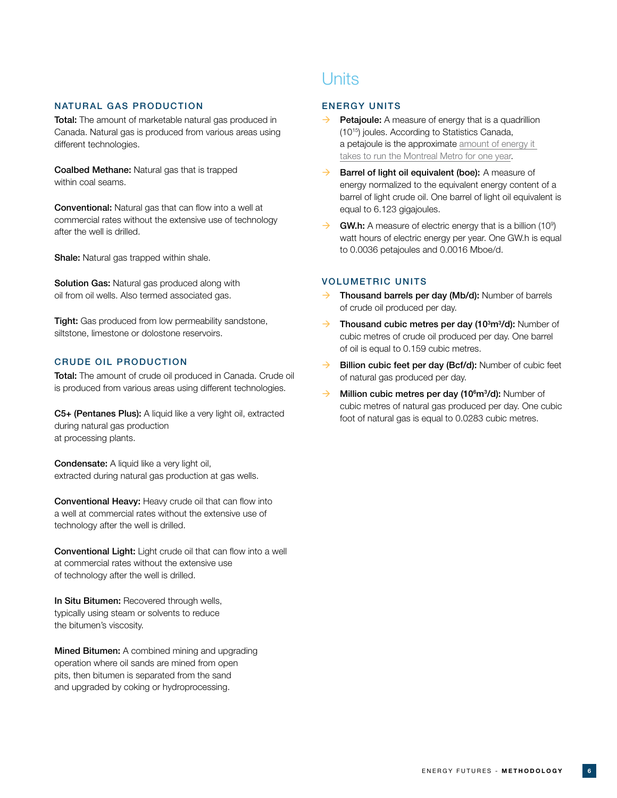#### NATURAL GAS PRODUCTION

Total: The amount of marketable natural gas produced in Canada. Natural gas is produced from various areas using different technologies.

Coalbed Methane: Natural gas that is trapped within coal seams.

Conventional: Natural gas that can flow into a well at commercial rates without the extensive use of technology after the well is drilled.

Shale: Natural gas trapped within shale.

Solution Gas: Natural gas produced along with oil from oil wells. Also termed associated gas.

Tight: Gas produced from low permeability sandstone, siltstone, limestone or dolostone reservoirs.

#### CRUDE OIL PRODUCTION

Total: The amount of crude oil produced in Canada. Crude oil is produced from various areas using different technologies.

C5+ (Pentanes Plus): A liquid like a very light oil, extracted during natural gas production at processing plants.

Condensate: A liquid like a very light oil, extracted during natural gas production at gas wells.

Conventional Heavy: Heavy crude oil that can flow into a well at commercial rates without the extensive use of technology after the well is drilled.

Conventional Light: Light crude oil that can flow into a well at commercial rates without the extensive use of technology after the well is drilled.

In Situ Bitumen: Recovered through wells, typically using steam or solvents to reduce the bitumen's viscosity.

**Mined Bitumen:** A combined mining and upgrading operation where oil sands are mined from open pits, then bitumen is separated from the sand and upgraded by coking or hydroprocessing.

### **Units**

#### ENERGY UNITS

- Petajoule: A measure of energy that is a quadrillion (1015) joules. According to Statistics Canada, a petajoule is the approximate [amount of energy it](https://www150.statcan.gc.ca/n1/pub/11-402-x/2012000/chap/ener/ener-eng.htm)  [takes to run the Montreal Metro for one year](https://www150.statcan.gc.ca/n1/pub/11-402-x/2012000/chap/ener/ener-eng.htm).
- $\rightarrow$  Barrel of light oil equivalent (boe): A measure of energy normalized to the equivalent energy content of a barrel of light crude oil. One barrel of light oil equivalent is equal to 6.123 gigajoules.
- $\rightarrow$  GW.h: A measure of electric energy that is a billion (10<sup>9</sup>) watt hours of electric energy per year. One GW.h is equal to 0.0036 petajoules and 0.0016 Mboe/d.

#### VOLUMETRIC UNITS

- Thousand barrels per day (Mb/d): Number of barrels of crude oil produced per day.
- $\rightarrow$  Thousand cubic metres per day (10<sup>3</sup>m<sup>3</sup>/d): Number of cubic metres of crude oil produced per day. One barrel of oil is equal to 0.159 cubic metres.
- $\rightarrow$  Billion cubic feet per day (Bcf/d): Number of cubic feet of natural gas produced per day.
- $\rightarrow$  Million cubic metres per day (10<sup>6</sup>m<sup>3</sup>/d): Number of cubic metres of natural gas produced per day. One cubic foot of natural gas is equal to 0.0283 cubic metres.